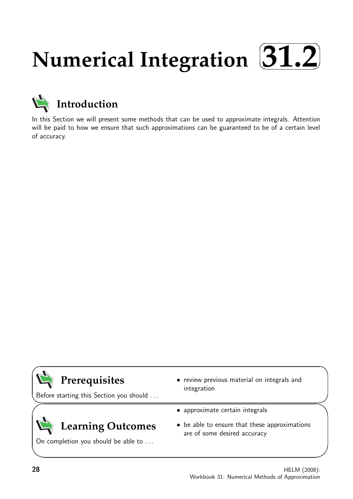## **Numerical Integration**  $\sqrt{2}$ ✒ **31.2**✑ ✏



In this Section we will present some methods that can be used to approximate integrals. Attention will be paid to how we ensure that such approximations can be guaranteed to be of a certain level of accuracy.



Before starting this Section you should . . .

• review previous material on integrals and integration

# **Learning Outcomes**

On completion you should be able to ...

- approximate certain integrals
- be able to ensure that these approximations are of some desired accuracy

 $\overline{\phantom{0}}$ 

 $\overline{\phantom{0}}$ 

 $\searrow$ 

 $\ge$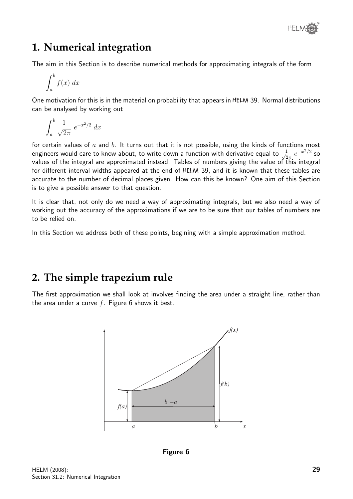

# **1. Numerical integration**

The aim in this Section is to describe numerical methods for approximating integrals of the form

$$
\int_{a}^{b} f(x) \ dx
$$

One motivation for this is in the material on probability that appears in HELM 39. Normal distributions can be analysed by working out

$$
\int_a^b \frac{1}{\sqrt{2\pi}} e^{-x^2/2} dx
$$

for certain values of  $a$  and  $b$ . It turns out that it is not possible, using the kinds of functions most engineers would care to know about, to write down a function with derivative equal to  $\frac{1}{\sqrt{6}}$  $\frac{1}{2\pi}e^{-x^2/2}$  so values of the integral are approximated instead. Tables of numbers giving the value of this integral for different interval widths appeared at the end of HELM 39, and it is known that these tables are accurate to the number of decimal places given. How can this be known? One aim of this Section is to give a possible answer to that question.

It is clear that, not only do we need a way of approximating integrals, but we also need a way of working out the accuracy of the approximations if we are to be sure that our tables of numbers are to be relied on.

In this Section we address both of these points, begining with a simple approximation method.

# **2. The simple trapezium rule**

The first approximation we shall look at involves finding the area under a straight line, rather than the area under a curve  $f$ . Figure 6 shows it best.



Figure 6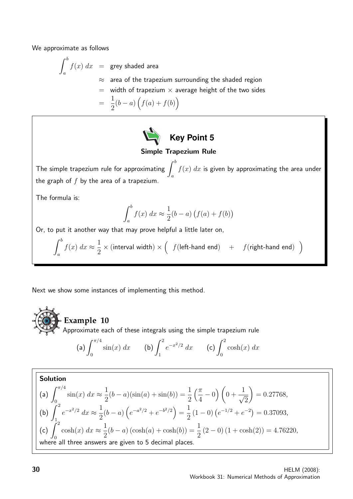We approximate as follows

$$
\int_{a}^{b} f(x) dx = \text{grey shaded area}
$$
\n
$$
\approx \text{ area of the trapezium surrounding the shaded region}
$$
\n
$$
= \text{ width of trapezium} \times \text{ average height of the two sides}
$$
\n
$$
= \frac{1}{2}(b-a)\left(f(a)+f(b)\right)
$$



## Simple Trapezium Rule

The simple trapezium rule for approximating  $\int^b$ a  $f(x) \; dx$  is given by approximating the area under the graph of  $f$  by the area of a trapezium.

The formula is:

$$
\int_a^b f(x) \ dx \approx \frac{1}{2}(b-a) \left( f(a) + f(b) \right)
$$

Or, to put it another way that may prove helpful a little later on,

$$
\int_{a}^{b} f(x) dx \approx \frac{1}{2} \times (\text{interval width}) \times \left( f(\text{left-hand end}) + f(\text{right-hand end}) \right)
$$

Next we show some instances of implementing this method.

**Example 10**

Approximate each of these integrals using the simple trapezium rule

(a) 
$$
\int_0^{\pi/4} \sin(x) dx
$$
 (b)  $\int_1^2 e^{-x^2/2} dx$  (c)  $\int_0^2 \cosh(x) dx$ 

Solution  
\n(a) 
$$
\int_0^{\pi/4} \sin(x) dx \approx \frac{1}{2} (b - a)(\sin(a) + \sin(b)) = \frac{1}{2} (\frac{\pi}{4} - 0) (0 + \frac{1}{\sqrt{2}}) = 0.27768,
$$
\n(b) 
$$
\int_1^2 e^{-x^2/2} dx \approx \frac{1}{2} (b - a) (e^{-a^2/2} + e^{-b^2/2}) = \frac{1}{2} (1 - 0) (e^{-1/2} + e^{-2}) = 0.37093,
$$
\n(c) 
$$
\int_0^2 \cosh(x) dx \approx \frac{1}{2} (b - a) (\cosh(a) + \cosh(b)) = \frac{1}{2} (2 - 0) (1 + \cosh(2)) = 4.76220,
$$
\nwhere all three answers are given to 5 decimal places.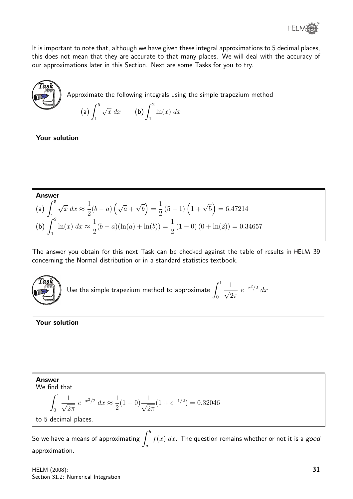

It is important to note that, although we have given these integral approximations to 5 decimal places, this does not mean that they are accurate to that many places. We will deal with the accuracy of our approximations later in this Section. Next are some Tasks for you to try.



Your solution

Approximate the following integrals using the simple trapezium method

(a) 
$$
\int_{1}^{5} \sqrt{x} \, dx
$$
 (b)  $\int_{1}^{2} \ln(x) \, dx$ 

Answer

(a) 
$$
\int_{1}^{5} \sqrt{x} dx \approx \frac{1}{2} (b - a) (\sqrt{a} + \sqrt{b}) = \frac{1}{2} (5 - 1) (1 + \sqrt{5}) = 6.47214
$$
  
\n(b)  $\int_{1}^{2} \ln(x) dx \approx \frac{1}{2} (b - a) (\ln(a) + \ln(b)) = \frac{1}{2} (1 - 0) (0 + \ln(2)) = 0.34657$ 

The answer you obtain for this next Task can be checked against the table of results in HELM 39 concerning the Normal distribution or in a standard statistics textbook.



Use the simple trapezium method to approximate  $\int^1$ 0  $\frac{1}{\sqrt{2}}$  $2\pi$  $e^{-x^2/2} dx$ 

Your solution

### Answer

We find that

$$
\int_0^1 \frac{1}{\sqrt{2\pi}} e^{-x^2/2} dx \approx \frac{1}{2} (1 - 0) \frac{1}{\sqrt{2\pi}} (1 + e^{-1/2}) = 0.32046
$$

to 5 decimal places.

So we have a means of approximating  $\int^b$ a  $f(x) \; dx$ . The question remains whether or not it is a  $\it go$ oa approximation.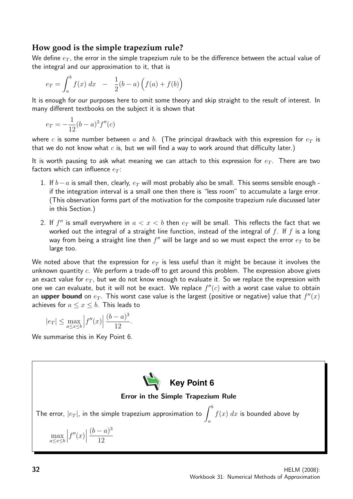## **How good is the simple trapezium rule?**

We define  $e_T$ , the error in the simple trapezium rule to be the difference between the actual value of the integral and our approximation to it, that is

$$
e_T = \int_a^b f(x) \, dx \quad - \quad \frac{1}{2}(b-a) \left( f(a) + f(b) \right)
$$

It is enough for our purposes here to omit some theory and skip straight to the result of interest. In many different textbooks on the subject it is shown that

$$
e_T = -\frac{1}{12}(b-a)^3 f''(c)
$$

where c is some number between a and b. (The principal drawback with this expression for  $e_T$  is that we do not know what  $c$  is, but we will find a way to work around that difficulty later.)

It is worth pausing to ask what meaning we can attach to this expression for  $e_T$ . There are two factors which can influence  $e_T$ :

- 1. If  $b-a$  is small then, clearly,  $e_T$  will most probably also be small. This seems sensible enough if the integration interval is a small one then there is "less room" to accumulate a large error. (This observation forms part of the motivation for the composite trapezium rule discussed later in this Section.)
- 2. If  $f''$  is small everywhere in  $a < x < b$  then  $e_T$  will be small. This reflects the fact that we worked out the integral of a straight line function, instead of the integral of  $f$ . If  $f$  is a long way from being a straight line then  $f^{\prime\prime}$  will be large and so we must expect the error  $e_T$  to be large too.

We noted above that the expression for  $e_T$  is less useful than it might be because it involves the unknown quantity  $c$ . We perform a trade-off to get around this problem. The expression above gives an exact value for  $e_T$ , but we do not know enough to evaluate it. So we replace the expression with one we can evaluate, but it will not be exact. We replace  $f''(c)$  with a worst case value to obtain an  $\bm{\mathsf{upper}}$  bound on  $e_T$ . This worst case value is the largest (positive or negative) value that  $f''(x)$ achieves for  $a \leq x \leq b$ . This leads to

$$
|e_T|\leq \max_{a\leq x\leq b}\left|f''(x)\right|\frac{(b-a)^3}{12}.
$$

We summarise this in Key Point 6.

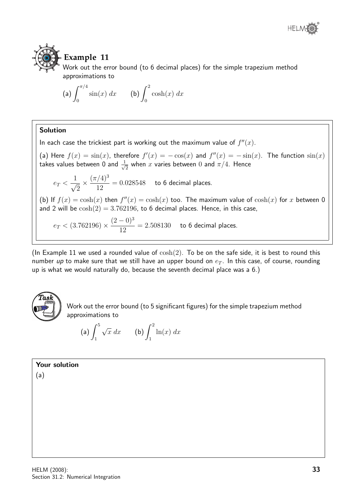



# **Example 11**

Work out the error bound (to 6 decimal places) for the simple trapezium method approximations to

(a) 
$$
\int_0^{\pi/4} \sin(x) dx
$$
 (b)  $\int_0^2 \cosh(x) dx$ 

## Solution

In each case the trickiest part is working out the maximum value of  $f''(x)$ .

(a) Here  $f(x) = sin(x)$ , therefore  $f'(x) = -cos(x)$  and  $f''(x) = -sin(x)$ . The function  $sin(x)$ takes values between 0 and  $\frac{1}{\sqrt{2}}$  $_{\overline{2}}$  when  $x$  varies between  $0$  and  $\pi/4.$  Hence

 $e_T <$  $\frac{1}{\sqrt{2}}$ 2  $\times \frac{(\pi/4)^3}{12}$ 12  $= 0.028548$  to 6 decimal places.

(b) If  $f(x) = \cosh(x)$  then  $f''(x) = \cosh(x)$  too. The maximum value of  $\cosh(x)$  for x between 0 and 2 will be  $cosh(2) = 3.762196$ , to 6 decimal places. Hence, in this case,

 $e_T < (3.762196) \times$  $(2-0)^3$ 12  $= 2.508130$  to 6 decimal places.

(In Example 11 we used a rounded value of  $\cosh(2)$ . To be on the safe side, it is best to round this number up to make sure that we still have an upper bound on  $e_T$ . In this case, of course, rounding up is what we would naturally do, because the seventh decimal place was a 6.)



Work out the error bound (to 5 significant figures) for the simple trapezium method approximations to

(a) 
$$
\int_{1}^{5} \sqrt{x} \, dx
$$
 (b)  $\int_{1}^{2} \ln(x) \, dx$ 

Your solution

(a)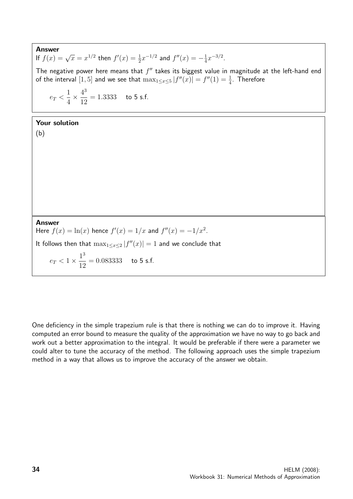Answer **If**  $f(x) = \sqrt{x} = x^{1/2}$  then  $f'(x) = \frac{1}{2}x^{-1/2}$  and  $f''(x) = -\frac{1}{4}$  $\frac{1}{4}x^{-3/2}$ . The negative power here means that  $f''$  takes its biggest value in magnitude at the left-hand end of the interval  $[1,5]$  and we see that  $\max_{1 \le x \le 5} |f''(x)| = f''(1) = \frac{1}{4}$ . Therefore  $e_T <$ 1 4  $\times \frac{4^3}{18}$ 12  $= 1.3333$  to 5 s.f.

### Your solution

(b)

Answer Here  $f(x) = \ln(x)$  hence  $f'(x) = 1/x$  and  $f''(x) = -1/x^2$ .

It follows then that  $\max_{1 \le x \le 2} |f''(x)| = 1$  and we conclude that

 $e_T < 1 \times \frac{1^3}{10^3}$ 12  $= 0.083333$  to 5 s.f.

One deficiency in the simple trapezium rule is that there is nothing we can do to improve it. Having computed an error bound to measure the quality of the approximation we have no way to go back and work out a better approximation to the integral. It would be preferable if there were a parameter we could alter to tune the accuracy of the method. The following approach uses the simple trapezium method in a way that allows us to improve the accuracy of the answer we obtain.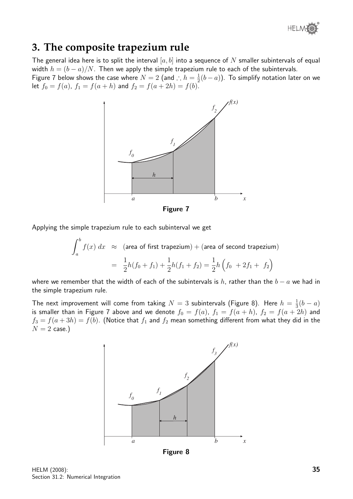

# **3. The composite trapezium rule**

The general idea here is to split the interval  $[a, b]$  into a sequence of N smaller subintervals of equal width  $h = (b - a)/N$ . Then we apply the simple trapezium rule to each of the subintervals.

Figure 7 below shows the case where  $N = 2$  (and ∴  $h = \frac{1}{2}$ )  $\frac{1}{2}(b-a)$ ). To simplify notation later on we let  $f_0 = f(a)$ ,  $f_1 = f(a+h)$  and  $f_2 = f(a+2h) = f(b)$ .



Figure 7

Applying the simple trapezium rule to each subinterval we get

$$
\int_{a}^{b} f(x) dx \approx \text{(area of first trapezium)} + \text{(area of second trapezium)}
$$

$$
= \frac{1}{2}h(f_0 + f_1) + \frac{1}{2}h(f_1 + f_2) = \frac{1}{2}h\left(f_0 + 2f_1 + f_2\right)
$$

where we remember that the width of each of the subintervals is h, rather than the  $b - a$  we had in the simple trapezium rule.

The next improvement will come from taking  $N=3$  subintervals (Figure 8). Here  $h=\frac{1}{3}$  $rac{1}{3}(b-a)$ is smaller than in Figure 7 above and we denote  $f_0 = f(a)$ ,  $f_1 = f(a + h)$ ,  $f_2 = f(a + 2h)$  and  $f_3 = f(a + 3h) = f(b)$ . (Notice that  $f_1$  and  $f_2$  mean something different from what they did in the  $N = 2$  case.)



Figure 8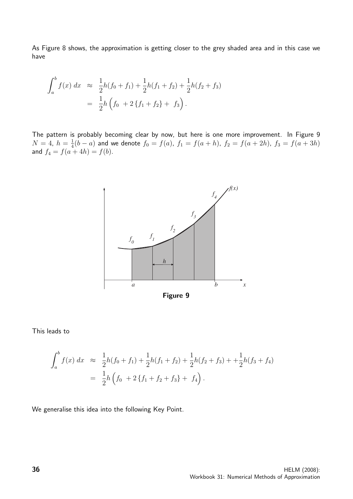As Figure 8 shows, the approximation is getting closer to the grey shaded area and in this case we have

$$
\int_{a}^{b} f(x) dx \approx \frac{1}{2}h(f_0 + f_1) + \frac{1}{2}h(f_1 + f_2) + \frac{1}{2}h(f_2 + f_3)
$$
  
= 
$$
\frac{1}{2}h\left(f_0 + 2\{f_1 + f_2\} + f_3\right).
$$

The pattern is probably becoming clear by now, but here is one more improvement. In Figure 9  $N=4, h=\frac{1}{4}$  $\frac{1}{4}(b-a)$  and we denote  $f_0=f(a)$ ,  $f_1=f(a+h)$ ,  $f_2=f(a+2h)$ ,  $f_3=f(a+3h)$ and  $f_4 = f(a + 4h) = f(b)$ .



#### This leads to

$$
\int_{a}^{b} f(x) dx \approx \frac{1}{2}h(f_0 + f_1) + \frac{1}{2}h(f_1 + f_2) + \frac{1}{2}h(f_2 + f_3) + \frac{1}{2}h(f_3 + f_4)
$$
  
= 
$$
\frac{1}{2}h\left(f_0 + 2\{f_1 + f_2 + f_3\} + f_4\right).
$$

We generalise this idea into the following Key Point.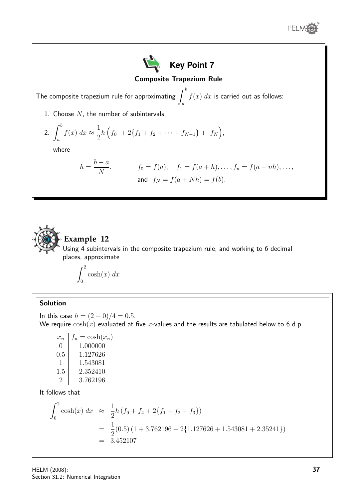





# **Example 12**

Using 4 subintervals in the composite trapezium rule, and working to 6 decimal places, approximate

$$
\int_0^2 \cosh(x) \ dx
$$

### Solution

In this case  $h = (2 - 0)/4 = 0.5$ . We require  $\cosh(x)$  evaluated at five x-values and the results are tabulated below to 6 d.p.

| $x_n$             | $f_n = \cosh(x_n)$ |
|-------------------|--------------------|
| $\mathbf{\Omega}$ | 1.000000           |
| 0.5               | 1.127626           |
| $\mathbf{I}$      | 1.543081           |
| 1.5               | 2.352410           |
| $\cdot$           | 3.762196           |

It follows that

$$
\int_0^2 \cosh(x) dx \approx \frac{1}{2} h (f_0 + f_4 + 2\{f_1 + f_2 + f_3\})
$$
  
=  $\frac{1}{2}$ (0.5) (1 + 3.762196 + 2{1.127626 + 1.543081 + 2.35241})  
= 3.452107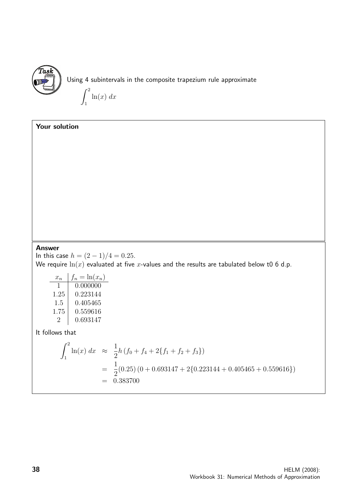

Using 4 subintervals in the composite trapezium rule approximate

 $\int_0^2$ 1  $ln(x) dx$ 

## Your solution

### Answer

In this case  $h = (2 - 1)/4 = 0.25$ . We require  $\ln(x)$  evaluated at five x-values and the results are tabulated below t0 6 d.p.

| $x_n$   | $f_n = \ln(x_n)$ |
|---------|------------------|
| L       | 0.000000         |
| 1.25    | 0.223144         |
| 1.5     | 0.405465         |
| 1.75    | 0.559616         |
| $\cdot$ | 0.693147         |

It follows that

$$
\int_{1}^{2} \ln(x) dx \approx \frac{1}{2} h \left( f_0 + f_4 + 2\{ f_1 + f_2 + f_3 \} \right)
$$
  
=  $\frac{1}{2} (0.25) (0 + 0.693147 + 2\{ 0.223144 + 0.405465 + 0.559616 \})$   
= 0.383700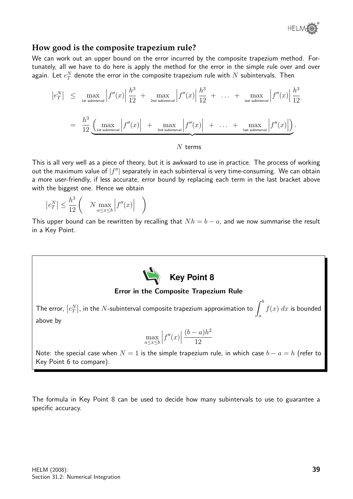

### **How good is the composite trapezium rule?**

We can work out an upper bound on the error incurred by the composite trapezium method. Fortunately, all we have to do here is apply the method for the error in the simple rule over and over again. Let  $e_T^N$  denote the error in the composite trapezium rule with  $N$  subintervals. Then

$$
\begin{array}{rcl}\n\left|e_{T}^{N}\right| & \leq & \max_{\text{1st subinterval}}\left|f''(x)\right|\frac{h^{3}}{12} + \max_{\text{2nd subinterval}}\left|f''(x)\right|\frac{h^{3}}{12} + \ldots + \max_{\text{last subinterval}}\left|f''(x)\right|\frac{h^{3}}{12} \\
\\
& = & \frac{h^{3}}{12} \underbrace{\left(\max_{\text{1st subinterval}}\left|f''(x)\right| + \max_{\text{2nd subinterval}}\left|f''(x)\right| + \ldots + \max_{\text{last subinterval}}\left|f''(x)\right|\right)}_{\text{last subinterval}}.\n\end{array}
$$

### $N$  terms

This is all very well as a piece of theory, but it is awkward to use in practice. The process of working out the maximum value of  $|f''|$  separately in each subinterval is very time-consuming. We can obtain a more user-friendly, if less accurate, error bound by replacing each term in the last bracket above with the biggest one. Hence we obtain

$$
\left|e_{T}^{N}\right| \leq \frac{h^{3}}{12} \left( N \max_{a \leq x \leq b} \left|f''(x)\right| \right)
$$

This upper bound can be rewritten by recalling that  $Nh = b - a$ , and we now summarise the result in a Key Point.



The formula in Key Point 8 can be used to decide how many subintervals to use to guarantee a specific accuracy.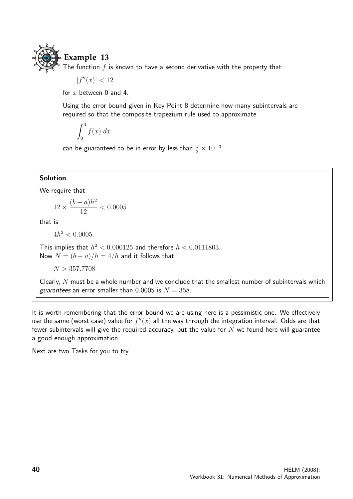

# **Example 13**

The function  $f$  is known to have a second derivative with the property that

 $|f''(x)| < 12$ 

for  $x$  between 0 and 4.

Using the error bound given in Key Point 8 determine how many subintervals are required so that the composite trapezium rule used to approximate

$$
\int_0^4 f(x) \ dx
$$

can be guaranteed to be in error by less than  $\frac{1}{2} \times 10^{-3}$ .

### Solution

We require that

$$
12 \times \frac{(b-a)h^2}{12} < 0.0005
$$

that is

 $4h^2 < 0.0005$ .

This implies that  $h^2 < 0.000125$  and therefore  $h < 0.0111803$ . Now  $N = (b - a)/h = 4/h$  and it follows that

 $N > 357.7708$ 

Clearly,  $N$  must be a whole number and we conclude that the smallest number of subintervals which guarantees an error smaller than 0.0005 is  $N = 358$ .

It is worth remembering that the error bound we are using here is a pessimistic one. We effectively use the same (worst case) value for  $f''(x)$  all the way through the integration interval. Odds are that fewer subintervals will give the required accuracy, but the value for  $N$  we found here will guarantee a good enough approximation.

Next are two Tasks for you to try.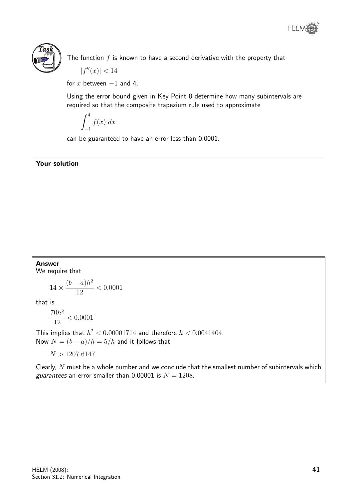



The function  $f$  is known to have a second derivative with the property that  $|f''(x)| < 14$ 

for x between  $-1$  and 4.

Using the error bound given in Key Point 8 determine how many subintervals are required so that the composite trapezium rule used to approximate

$$
\int_{-1}^{4} f(x) \ dx
$$

can be guaranteed to have an error less than 0.0001.

### Your solution

### Answer

We require that

$$
14 \times \frac{(b-a)h^2}{12} < 0.0001
$$

that is

$$
\frac{70h^2}{12} < 0.0001
$$

This implies that  $h^2 < 0.00001714$  and therefore  $h < 0.0041404$ . Now  $N = (b - a)/h = 5/h$  and it follows that

 $N > 1207.6147$ 

Clearly,  $N$  must be a whole number and we conclude that the smallest number of subintervals which guarantees an error smaller than 0.00001 is  $N = 1208$ .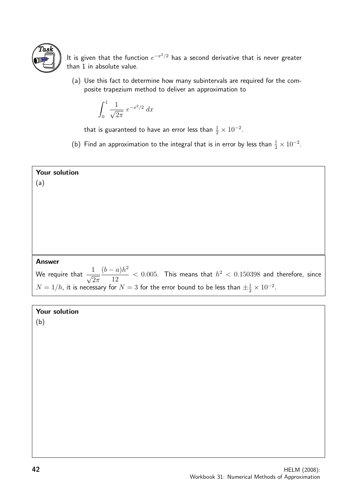

It is given that the function  $e^{-x^2/2}$  has a second derivative that is never greater than 1 in absolute value.

(a) Use this fact to determine how many subintervals are required for the composite trapezium method to deliver an approximation to

$$
\int_0^1 \frac{1}{\sqrt{2\pi}} e^{-x^2/2} dx
$$

that is guaranteed to have an error less than  $\frac{1}{2} \times 10^{-2}.$ 

(b) Find an approximation to the integral that is in error by less than  $\frac{1}{2} \times 10^{-2}$ .

| Your solution                                                                                                              |
|----------------------------------------------------------------------------------------------------------------------------|
| (a)                                                                                                                        |
|                                                                                                                            |
|                                                                                                                            |
|                                                                                                                            |
|                                                                                                                            |
|                                                                                                                            |
|                                                                                                                            |
| <b>Answer</b>                                                                                                              |
| We require that $\frac{1}{\sqrt{2\pi}}\frac{(b-a)h^2}{12} < 0.005$ . This means that $h^2 < 0.150398$ and therefore, since |
| $N = 1/h$ , it is necessary for $N = 3$ for the error bound to be less than $\pm \frac{1}{2} \times 10^{-2}$ .             |
|                                                                                                                            |
| Your solution                                                                                                              |

(b)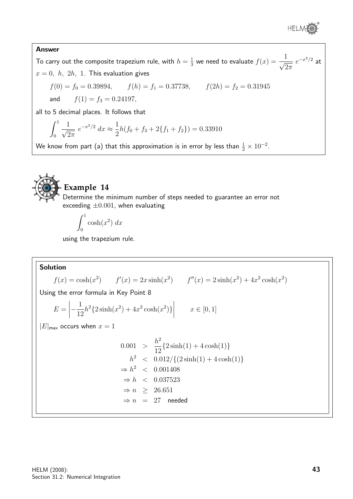

### Answer

To carry out the composite trapezium rule, with  $h=\frac{1}{3}$  $\frac{1}{3}$  we need to evaluate  $f(x) = \frac{1}{\sqrt{c}}$  $2\pi$  $e^{-x^2/2}$  at  $x = 0, h, 2h, 1$ . This evaluation gives

$$
f(0) = f_0 = 0.39894,
$$
  $f(h) = f_1 = 0.37738,$   $f(2h) = f_2 = 0.31945$ 

and  $f(1) = f_3 = 0.24197$ ,

all to 5 decimal places. It follows that

$$
\int_0^1 \frac{1}{\sqrt{2\pi}} e^{-x^2/2} dx \approx \frac{1}{2}h(f_0 + f_3 + 2\{f_1 + f_2\}) = 0.33910
$$

We know from part (a) that this approximation is in error by less than  $\frac{1}{2}\times 10^{-2}.$ 



## **Example 14**

Determine the minimum number of steps needed to guarantee an error not exceeding  $\pm 0.001$ , when evaluating

$$
\int_0^1 \cosh(x^2) \ dx
$$

using the trapezium rule.

Solution  $f(x) = \cosh(x^2)$   $f'(x) = 2x \sinh(x^2)$   $f''(x) = 2 \sinh(x^2) + 4x^2 \cosh(x^2)$ Using the error formula in Key Point 8  $E =$  $\left|-\frac{1}{12}\right|$ 12  $h^2\{2\sinh(x^2)+4x^2\cosh(x^2)\}\$  $\begin{array}{c} \begin{array}{c} \begin{array}{c} \end{array} \\ \begin{array}{c} \end{array} \end{array} \end{array}$  $x \in [0, 1]$  $|E|_{\text{max}}$  occurs when  $x = 1$  $0.001 >$  $h<sup>2</sup>$ 12  ${2\sinh(1) + 4\cosh(1)}$  $h^2$  <  $0.012/\{(2\sinh(1) + 4\cosh(1)\}\)$  $\Rightarrow h^2$  < 0.001408  $\Rightarrow h \lt 0.037523$  $\Rightarrow$  n > 26.651  $\Rightarrow n = 27$  needed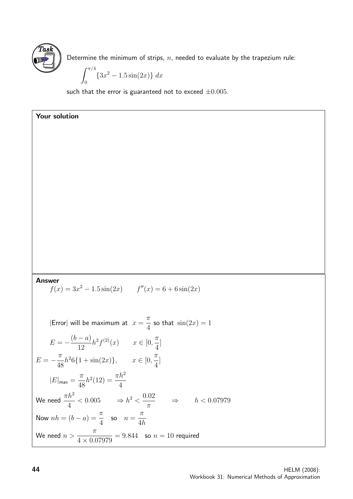

Your solution

Determine the minimum of strips,  $n$ , needed to evaluate by the trapezium rule:

$$
\int_0^{\pi/4} \{3x^2 - 1.5\sin(2x)\} \, dx
$$

such that the error is guaranteed not to exceed  $\pm 0.005$ .

Answer

$$
f(x) = 3x^2 - 1.5\sin(2x) \qquad f''(x) = 6 + 6\sin(2x)
$$

|Error| will be maximum at  $x = \frac{\pi}{4}$ 4 so that  $\sin(2x) = 1$ 

$$
E = -\frac{(b-a)}{12}h^2 f^{(2)}(x) \qquad x \in [0, \frac{\pi}{4}]
$$
  
\n
$$
E = -\frac{\pi}{48}h^2 6\{1 + \sin(2x)\}, \qquad x \in [0, \frac{\pi}{4}]
$$
  
\n
$$
|E|_{\text{max}} = \frac{\pi}{48}h^2(12) = \frac{\pi h^2}{4}
$$
  
\nWe need  $\frac{\pi h^2}{4} < 0.005 \qquad \Rightarrow h^2 < \frac{0.02}{\pi} \qquad \Rightarrow \qquad h < 0.07979$   
\nNow  $nh = (b-a) = \frac{\pi}{4}$  so  $n = \frac{\pi}{4h}$   
\nWe need  $n > \frac{\pi}{4 \times 0.07979} = 9.844$  so  $n = 10$  required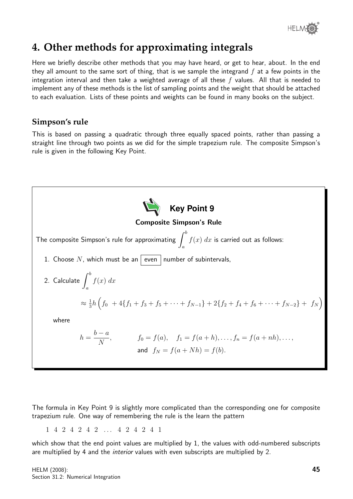

# **4. Other methods for approximating integrals**

Here we briefly describe other methods that you may have heard, or get to hear, about. In the end they all amount to the same sort of thing, that is we sample the integrand  $f$  at a few points in the integration interval and then take a weighted average of all these  $f$  values. All that is needed to implement any of these methods is the list of sampling points and the weight that should be attached to each evaluation. Lists of these points and weights can be found in many books on the subject.

# **Simpson's rule**

This is based on passing a quadratic through three equally spaced points, rather than passing a straight line through two points as we did for the simple trapezium rule. The composite Simpson's rule is given in the following Key Point.



The formula in Key Point 9 is slightly more complicated than the corresponding one for composite trapezium rule. One way of remembering the rule is the learn the pattern

1 4 2 4 2 4 2 . . . 4 2 4 2 4 1

which show that the end point values are multiplied by 1, the values with odd-numbered subscripts are multiplied by 4 and the *interior* values with even subscripts are multiplied by 2.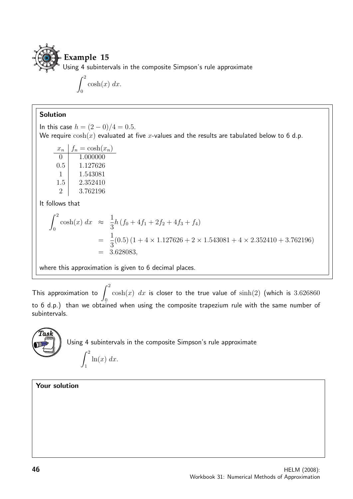

$$
\int_0^2 \cosh(x) \ dx.
$$

### Solution

In this case  $h = (2 - 0)/4 = 0.5$ . We require  $cosh(x)$  evaluated at five x-values and the results are tabulated below to 6 d.p.

| $x_n$             | $f_n = \cosh(x_n)$ |
|-------------------|--------------------|
| $\mathbf{\Omega}$ | 1.000000           |
| 0.5               | 1.127626           |
| 1                 | 1.543081           |
| 1.5               | 2.352410           |
| 2                 | 3.762196           |

It follows that

$$
\int_0^2 \cosh(x) \, dx \quad \approx \quad \frac{1}{3} h \left( f_0 + 4f_1 + 2f_2 + 4f_3 + f_4 \right)
$$
\n
$$
= \quad \frac{1}{3} (0.5) \left( 1 + 4 \times 1.127626 + 2 \times 1.543081 + 4 \times 2.352410 + 3.762196 \right)
$$
\n
$$
= \quad 3.628083,
$$

where this approximation is given to 6 decimal places.

This approximation to  $\int^2$ 0  $\cosh(x)$  dx is closer to the true value of  $\sinh(2)$  (which is 3.626860 to 6 d.p.) than we obtained when using the composite trapezium rule with the same number of subintervals.



### Your solution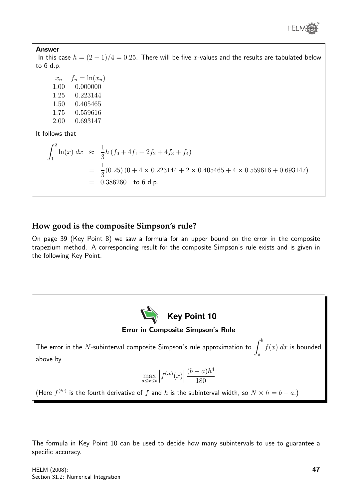

### Answer

In this case  $h = (2 - 1)/4 = 0.25$ . There will be five x-values and the results are tabulated below to 6 d.p.

| $x_n$ | $f_n = \ln(x_n)$ |
|-------|------------------|
| 1.00  | 0.000000         |
| 1.25  | 0.223144         |
| 1.50  | 0.405465         |
| 1.75  | 0.559616         |
| 2.00  | 0.693147         |

It follows that

$$
\int_{1}^{2} \ln(x) dx \approx \frac{1}{3} h (f_0 + 4f_1 + 2f_2 + 4f_3 + f_4)
$$
  
=  $\frac{1}{3}$ (0.25) (0 + 4 × 0.223144 + 2 × 0.405465 + 4 × 0.559616 + 0.693147)  
= 0.386260 to 6 d.p.

## **How good is the composite Simpson's rule?**

On page 39 (Key Point 8) we saw a formula for an upper bound on the error in the composite trapezium method. A corresponding result for the composite Simpson's rule exists and is given in the following Key Point.



The formula in Key Point 10 can be used to decide how many subintervals to use to guarantee a specific accuracy.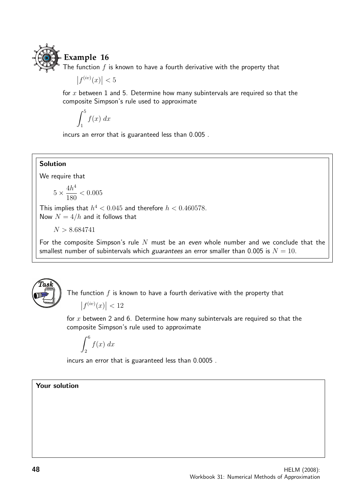

# **Example 16**

The function  $f$  is known to have a fourth derivative with the property that

 $|f^{(iv)}(x)| < 5$ 

for  $x$  between 1 and 5. Determine how many subintervals are required so that the composite Simpson's rule used to approximate

$$
\int_1^5 f(x) \ dx
$$

incurs an error that is guaranteed less than 0.005 .

### Solution

We require that

$$
5 \times \frac{4h^4}{180} < 0.005
$$

This implies that  $h^4 < 0.045$  and therefore  $h < 0.460578$ . Now  $N = 4/h$  and it follows that

 $N > 8.684741$ 

For the composite Simpson's rule  $N$  must be an even whole number and we conclude that the smallest number of subintervals which *guarantees* an error smaller than 0.005 is  $N = 10$ .



The function  $f$  is known to have a fourth derivative with the property that

$$
\left|f^{(iv)}(x)\right| < 12
$$

for  $x$  between 2 and 6. Determine how many subintervals are required so that the composite Simpson's rule used to approximate

$$
\int_2^6 f(x) \ dx
$$

incurs an error that is guaranteed less than 0.0005 .

### Your solution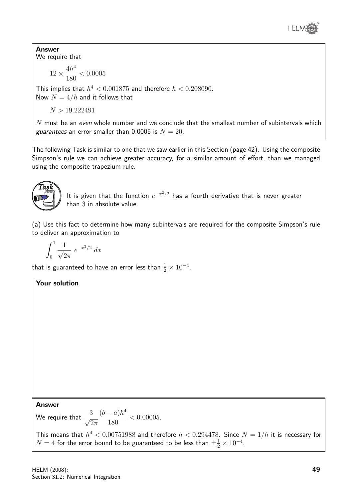

Answer We require that

$$
12 \times \frac{4h^4}{180} < 0.0005
$$

This implies that  $h^4 < 0.001875$  and therefore  $h < 0.208090$ . Now  $N = 4/h$  and it follows that

 $N > 19.222491$ 

 $N$  must be an even whole number and we conclude that the smallest number of subintervals which guarantees an error smaller than 0.0005 is  $N = 20$ .

The following Task is similar to one that we saw earlier in this Section (page 42). Using the composite Simpson's rule we can achieve greater accuracy, for a similar amount of effort, than we managed using the composite trapezium rule.



It is given that the function  $e^{-x^2/2}$  has a fourth derivative that is never greater than 3 in absolute value.

(a) Use this fact to determine how many subintervals are required for the composite Simpson's rule to deliver an approximation to

$$
\int_0^1 \frac{1}{\sqrt{2\pi}} e^{-x^2/2} dx
$$

Your solution

that is guaranteed to have an error less than  $\frac{1}{2} \times 10^{-4}.$ 

Answer

We require that  $\frac{3}{\sqrt{2}}$  $2\pi$  $(b-a)h^4$ 180  $< 0.00005$ .

This means that  $h^4 < 0.00751988$  and therefore  $h < 0.294478$ . Since  $N = 1/h$  it is necessary for  $N=4$  for the error bound to be guaranteed to be less than  $\pm \frac{1}{2} \times 10^{-4}.$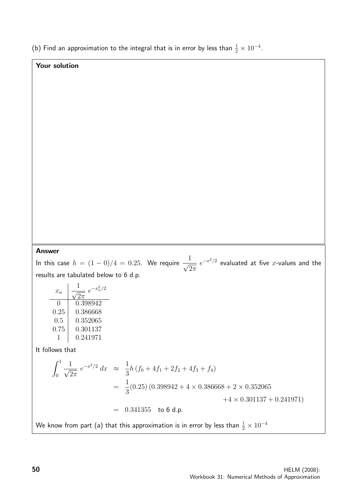(b) Find an approximation to the integral that is in error by less than  $\frac{1}{2} \times 10^{-4}$ .

## Your solution

### Answer

In this case  $h = (1 - 0)/4 = 0.25$ . We require  $\frac{1}{\sqrt{2}}$  $2\pi$  $e^{-x^2/2}$  evaluated at five x-values and the results are tabulated below to 6 d.p.

| $x_n$ | $\frac{1}{\sqrt{2\pi}}$ | $e^{-x_n^2/2}$ |
|-------|-------------------------|----------------|
| 0     | 0.398942                |                |
| 0.25  | 0.386668                |                |
| 0.5   | 0.352065                |                |
| 0.75  | 0.301137                |                |
| 1     | 0.241971                |                |

It follows that

$$
\int_0^1 \frac{1}{\sqrt{2\pi}} e^{-x^2/2} dx \approx \frac{1}{3} h (f_0 + 4f_1 + 2f_2 + 4f_3 + f_4)
$$
  
=  $\frac{1}{3} (0.25) (0.398942 + 4 \times 0.386668 + 2 \times 0.352065 + 4 \times 0.301137 + 0.241971)$   
= 0.341355 to 6 d.p.

We know from part (a) that this approximation is in error by less than  $\frac{1}{2}\times 10^{-4}$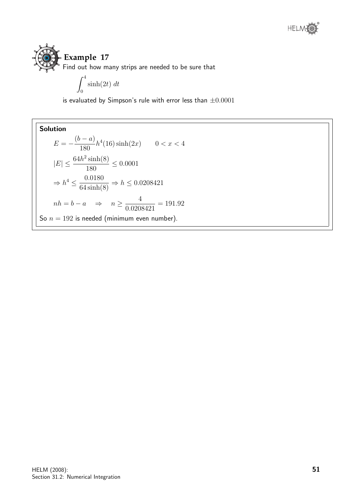

Find out how many strips are needed to be sure that

$$
\int_0^4 \sinh(2t) \ dt
$$

is evaluated by Simpson's rule with error less than  $\pm 0.0001$ 

**Solution**  
\n
$$
E = -\frac{(b-a)}{180}h^4(16)\sinh(2x) \qquad 0 < x < 4
$$
\n
$$
|E| \le \frac{64h^2\sinh(8)}{180} \le 0.0001
$$
\n
$$
\Rightarrow h^4 \le \frac{0.0180}{64\sinh(8)} \Rightarrow h \le 0.0208421
$$
\n
$$
nh = b - a \qquad \Rightarrow \qquad n \ge \frac{4}{0.0208421} = 191.92
$$
\nSo  $n = 192$  is needed (minimum even number).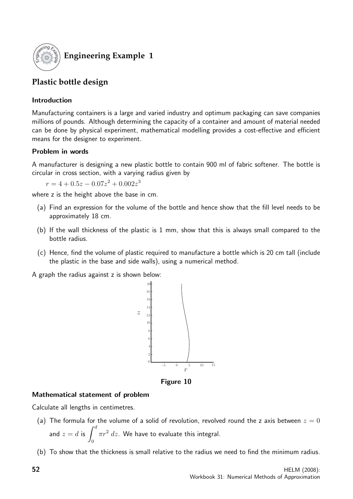

# **Engineering Example 1**

# **Plastic bottle design**

### Introduction

Manufacturing containers is a large and varied industry and optimum packaging can save companies millions of pounds. Although determining the capacity of a container and amount of material needed can be done by physical experiment, mathematical modelling provides a cost-effective and efficient means for the designer to experiment.

## Problem in words

A manufacturer is designing a new plastic bottle to contain 900 ml of fabric softener. The bottle is circular in cross section, with a varying radius given by

 $r = 4 + 0.5z - 0.07z^2 + 0.002z^3$ 

where z is the height above the base in cm.

- (a) Find an expression for the volume of the bottle and hence show that the fill level needs to be approximately 18 cm.
- (b) If the wall thickness of the plastic is 1 mm, show that this is always small compared to the bottle radius.
- (c) Hence, find the volume of plastic required to manufacture a bottle which is 20 cm tall (include the plastic in the base and side walls), using a numerical method.

A graph the radius against z is shown below:



Figure 10

### Mathematical statement of problem

Calculate all lengths in centimetres.

- (a) The formula for the volume of a solid of revolution, revolved round the z axis between  $z = 0$ and  $z=d$  is  $\int^d$ 0  $\pi r^2\ dz.$  We have to evaluate this integral.
- (b) To show that the thickness is small relative to the radius we need to find the minimum radius.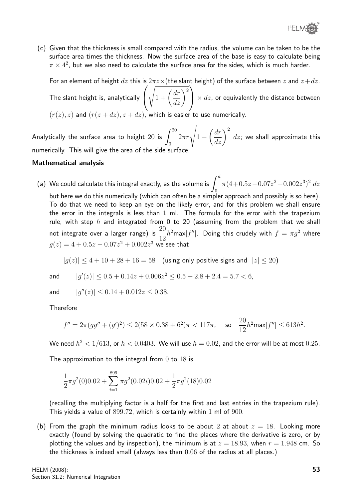

(c) Given that the thickness is small compared with the radius, the volume can be taken to be the surface area times the thickness. Now the surface area of the base is easy to calculate being  $\pi\times 4^2$ , but we also need to calculate the surface area for the sides, which is much harder.

For an element of height dz this is  $2\pi z \times$  (the slant height) of the surface between z and  $z+dz$ .

The slant height is, analytically  $\sqrt{ }$  $\overline{1}$  $\sqrt{1+\left(\frac{dr}{dz}\right)^2}$  $\big| \times dz$ , or equivalently the distance between

 $(r(z), z)$  and  $(r(z + dz), z + dz)$ , which is easier to use numerically.

Analytically the surface area to height  $20$  is  $\int^{20}$ 0  $2\pi r\sqrt{1+\left(\frac{dr}{dz}\right)^2}$  $dz$ ; we shall approximate this numerically. This will give the area of the side surface.

### Mathematical analysis

(a) We could calculate this integral exactly, as the volume is  $\int^d$  $\mathbf{0}$  $\pi(4+0.5z-0.07z^2+0.002z^3)^2 dz$ but here we do this numerically (which can often be a simpler approach and possibly is so here). To do that we need to keep an eye on the likely error, and for this problem we shall ensure the error in the integrals is less than 1 ml. The formula for the error with the trapezium rule, with step  $h$  and integrated from 0 to 20 (assuming from the problem that we shall not integrate over a larger range) is  $\frac{20}{10}$ 12  $|h^2$ max $|f''|$ . Doing this crudely with  $f = \pi g^2$  where  $g(z) = 4 + 0.5z - 0.07z^2 + 0.002z^3$  we see that

 $|g(z)| \le 4 + 10 + 28 + 16 = 58$  (using only positive signs and  $|z| \le 20$ )

and

$$
|g'(z)| \le 0.5 + 0.14z + 0.006z^2 \le 0.5 + 2.8 + 2.4 = 5.7 < 6,
$$

and  $|q''(z)| \leq 0.14 + 0.012z \leq 0.38.$ 

Therefore

$$
f'' = 2\pi (gg'' + (g')^2) \le 2(58 \times 0.38 + 6^2)\pi < 117\pi, \quad \text{so} \quad \frac{20}{12}h^2 \text{max} |f''| \le 613h^2.
$$

We need  $h^2 < 1/613$ , or  $h < 0.0403$ . We will use  $h = 0.02$ , and the error will be at most  $0.25$ .

The approximation to the integral from  $0$  to  $18$  is

$$
\frac{1}{2}\pi g^2(0)0.02 + \sum_{i=1}^{899} \pi g^2(0.02i)0.02 + \frac{1}{2}\pi g^2(18)0.02
$$

(recalling the multiplying factor is a half for the first and last entries in the trapezium rule). This yields a value of 899.72, which is certainly within 1 ml of 900.

(b) From the graph the minimum radius looks to be about 2 at about  $z = 18$ . Looking more exactly (found by solving the quadratic to find the places where the derivative is zero, or by plotting the values and by inspection), the minimum is at  $z = 18.93$ , when  $r = 1.948$  cm. So the thickness is indeed small (always less than 0.06 of the radius at all places.)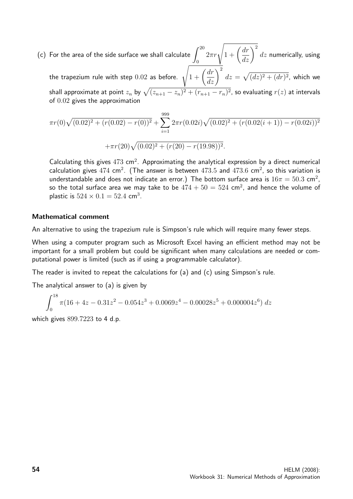(c) For the area of the side surface we shall calculate  $\int^{20}$ 0  $2\pi r\sqrt{1+\left(\frac{dr}{dz}\right)^2}$  $dz$  numerically, using

the trapezium rule with step  $0.02$  as before.  $\sqrt{1 + \left(\frac{dr}{dz}\right)^2}$  $dz = \sqrt{(dz)^2 + (dr)^2}$ , which we shall approximate at point  $z_n$  by  $\sqrt{(z_{n+1} - z_n)^2 + (r_{n+1} - r_n)^2}$ , so evaluating  $r(z)$  at intervals of 0.02 gives the approximation

$$
\pi r(0)\sqrt{(0.02)^2 + (r(0.02) - r(0))^2} + \sum_{i=1}^{999} 2\pi r(0.02i)\sqrt{(0.02)^2 + (r(0.02(i+1)) - r(0.02i))^2}
$$

$$
+\pi r(20)\sqrt{(0.02)^2 + (r(20) - r(19.98))^2}.
$$

Calculating this gives  $473 \text{ cm}^2$ . Approximating the analytical expression by a direct numerical calculation gives  $474$  cm<sup>2</sup>. (The answer is between  $473.5$  and  $473.6$  cm<sup>2</sup>, so this variation is understandable and does not indicate an error.) The bottom surface area is  $16\pi = 50.3$  cm<sup>2</sup>, so the total surface area we may take to be  $474+50=524$  cm $^2$ , and hence the volume of plastic is  $524 \times 0.1 = 52.4$  cm<sup>3</sup>.

### Mathematical comment

An alternative to using the trapezium rule is Simpson's rule which will require many fewer steps.

When using a computer program such as Microsoft Excel having an efficient method may not be important for a small problem but could be significant when many calculations are needed or computational power is limited (such as if using a programmable calculator).

The reader is invited to repeat the calculations for (a) and (c) using Simpson's rule.

The analytical answer to (a) is given by

$$
\int_0^{18} \pi (16 + 4z - 0.31z^2 - 0.054z^3 + 0.0069z^4 - 0.00028z^5 + 0.000004z^6) dz
$$

which gives 899.7223 to 4 d.p.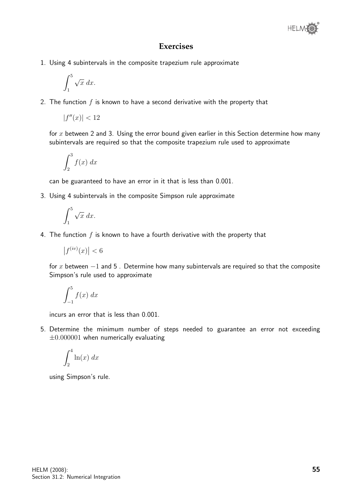

## **Exercises**

1. Using 4 subintervals in the composite trapezium rule approximate

$$
\int_1^5 \sqrt{x} \, dx.
$$

2. The function  $f$  is known to have a second derivative with the property that

$$
|f''(x)| < 12
$$

for  $x$  between 2 and 3. Using the error bound given earlier in this Section determine how many subintervals are required so that the composite trapezium rule used to approximate

$$
\int_2^3 f(x) \ dx
$$

can be guaranteed to have an error in it that is less than 0.001.

3. Using 4 subintervals in the composite Simpson rule approximate

$$
\int_1^5 \sqrt{x} \, dx.
$$

4. The function  $f$  is known to have a fourth derivative with the property that

$$
\left|f^{(iv)}(x)\right| < 6
$$

for x between  $-1$  and 5. Determine how many subintervals are required so that the composite Simpson's rule used to approximate

$$
\int_{-1}^{5} f(x) \ dx
$$

incurs an error that is less than 0.001.

5. Determine the minimum number of steps needed to guarantee an error not exceeding  $\pm 0.000001$  when numerically evaluating

$$
\int_{2}^{4} \ln(x) \ dx
$$

using Simpson's rule.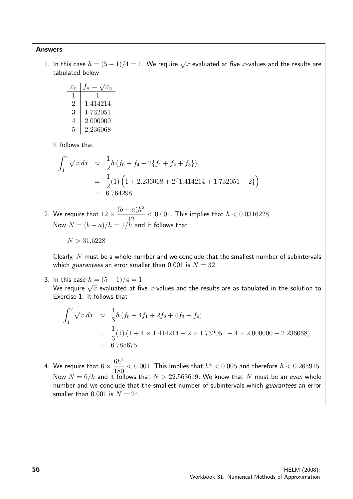### Answers

1. In this case  $h=(5-1)/4=1.$  We require  $\sqrt{x}$  evaluated at five  $x$ -values and the results are tabulated below

$$
\begin{array}{c|c}\nx_n & f_n = \sqrt{x_n} \\
\hline\n1 & 1 \\
2 & 1.414214 \\
3 & 1.732051 \\
4 & 2.000000 \\
5 & 2.236068\n\end{array}
$$

It follows that

$$
\int_{1}^{5} \sqrt{x} \, dx \approx \frac{1}{2} h \left( f_0 + f_4 + 2 \{ f_1 + f_2 + f_3 \} \right)
$$
  
=  $\frac{1}{2} (1) \left( 1 + 2.236068 + 2 \{ 1.414214 + 1.732051 + 2 \} \right)$   
= 6.764298.

2. We require that  $12 \times$  $(b-a)h^2$ 12  $< 0.001$ . This implies that  $h < 0.0316228$ . Now  $N = (b - a)/h = 1/h^2$  and it follows that

$$
N>31.6228
$$

Clearly,  $N$  must be a whole number and we conclude that the smallest number of subintervals which *guarantees* an error smaller than 0.001 is  $N = 32$ .

3. In this case  $h = (5 - 1)/4 = 1$ . wh this case  $n = (3-1)/4 = 1.$ <br>We require  $\sqrt{x}$  evaluated at five  $x$ -values and the results are as tabulated in the solution to Exercise 1. It follows that

$$
\int_{1}^{5} \sqrt{x} \, dx \approx \frac{1}{3} h \left( f_0 + 4f_1 + 2f_2 + 4f_3 + f_4 \right)
$$
  
=  $\frac{1}{3}(1) \left( 1 + 4 \times 1.414214 + 2 \times 1.732051 + 4 \times 2.000000 + 2.236068 \right)$   
= 6.785675.

4. We require that  $6 \times \frac{6h^4}{100}$ 180  $< 0.001$ . This implies that  $h^4 < 0.005$  and therefore  $h < 0.265915$ . Now  $N = 6/h$  and it follows that  $N > 22.563619$ . We know that N must be an even whole number and we conclude that the smallest number of subintervals which guarantees an error smaller than 0.001 is  $N = 24$ .